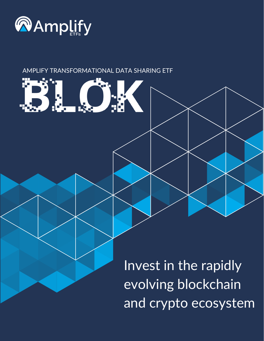

#### AMPLIFY TRANSFORMATIONAL DATA SHARING ETF



Invest in the rapidly evolving blockchain and crypto ecosystem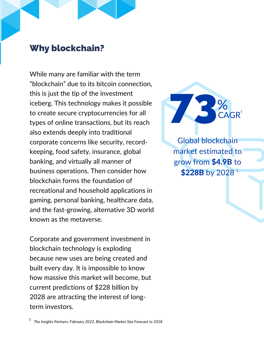#### Why blockchain?

While many are familiar with the term "blockchain" due to its bitcoin connection, this is just the tip of the investment iceberg. This technology makes it possible to create secure cryptocurrencies for all types of online transactions, but its reach also extends deeply into traditional corporate concerns like security, recordkeeping, food safety, insurance, global banking, and virtually all manner of business operations. Then consider how blockchain forms the foundation of recreational and household applications in gaming, personal banking, healthcare data, and the fast-growing, alternative 3D world known as the metaverse.

Corporate and government investment in blockchain technology is exploding because new uses are being created and built every day. It is impossible to know how massive this market will become, but current predictions of \$228 billion by 2028 are attracting the interest of longterm investors.



Global blockchain market estimated to grow from \$4.9B to  $$228B$  by  $2028$   $^{\rm 1}$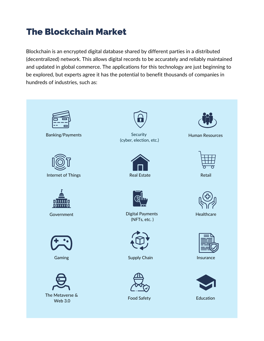## The Blockchain Market

Blockchain is an encrypted digital database shared by different parties in a distributed (decentralized) network. This allows digital records to be accurately and reliably maintained and updated in global commerce. The applications for this technology are just beginning to be explored, but experts agree it has the potential to benefit thousands of companies in hundreds of industries, such as:

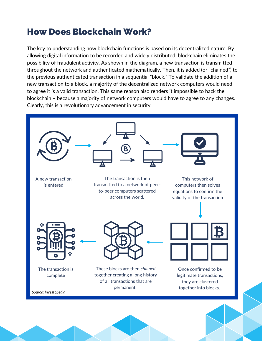## How Does Blockchain Work?

The key to understanding how blockchain functions is based on its decentralized nature. By allowing digital information to be recorded and widely distributed, blockchain eliminates the possibility of fraudulent activity. As shown in the diagram, a new transaction is transmitted throughout the network and authenticated mathematically. Then, it is added (or "chained") to the previous authenticated transaction in a sequential "block." To validate the addition of a new transaction to a block, a majority of the decentralized network computers would need to agree it is a valid transaction. This same reason also renders it impossible to hack the blockchain – because a majority of network computers would have to agree to any changes. Clearly, this is a revolutionary advancement in security.

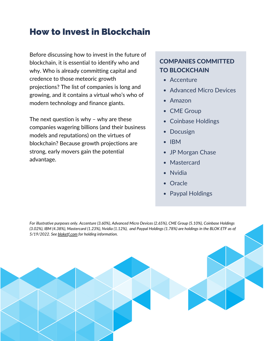### How to Invest in Blockchain

Before discussing how to invest in the future of blockchain, it is essential to identify who and why. Who is already committing capital and credence to those meteoric growth projections? The list of companies is long and growing, and it contains a virtual who's who of modern technology and finance giants.

The next question is why – why are these companies wagering billions (and their business models and reputations) on the virtues of blockchain? Because growth projections are strong, early movers gain the potential advantage.

#### COMPANIES COMMITTED TO BLOCKCHAIN

- Accenture
- Advanced Micro Devices
- Amazon
- CME Group
- Coinbase Holdings  $\bullet$
- Docusign
- $\bullet$  IBM
- JP Morgan Chase
- Mastercard
- Nvidia
- **Oracle**
- Paypal Holdings

*For illustrative purposes only. Accenture (3.60%), Advanced Micro Devices (2.65%), CME Group (5.10%), Coinbase Holdings* (3.02%), IBM (4.38%), Mastercard (1.23%), Nvidia (1.12%), and Paypal Holdings (1.78%) are holdings in the BLOK ETF as of *5/19/2022. See [bloketf.com](https://amplifyetfs.com/blok/) for holding information.*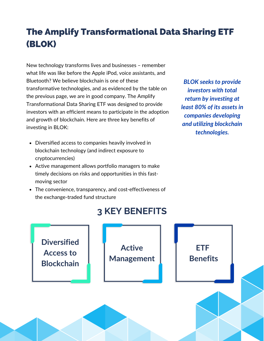# The Amplify Transformational Data Sharing ETF (BLOK)

New technology transforms lives and businesses – remember what life was like before the Apple iPod, voice assistants, and Bluetooth? We believe blockchain is one of these transformative technologies, and as evidenced by the table on the previous page, we are in good company. The Amplify Transformational Data Sharing ETF was designed to provide investors with an efficient means to participate in the adoption and growth of blockchain. Here are three key benefits of investing in BLOK:

- Diversified access to companies heavily involved in blockchain technology (and indirect exposure to cryptocurrencies)
- Active management allows portfolio managers to make timely decisions on risks and opportunities in this fastmoving sector
- The convenience, transparency, and cost-effectiveness of the exchange-traded fund structure

*BLOK seeks to provide investors with total return by investing at least 80% of its assets in companies developing and utilizing blockchain technologies.*

### **3 KEY BENEFITS**

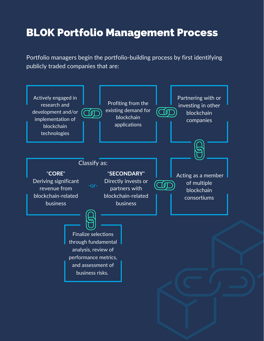# BLOK Portfolio Management Process

Portfolio managers begin the portfolio-building process by first identifying publicly traded companies that are: